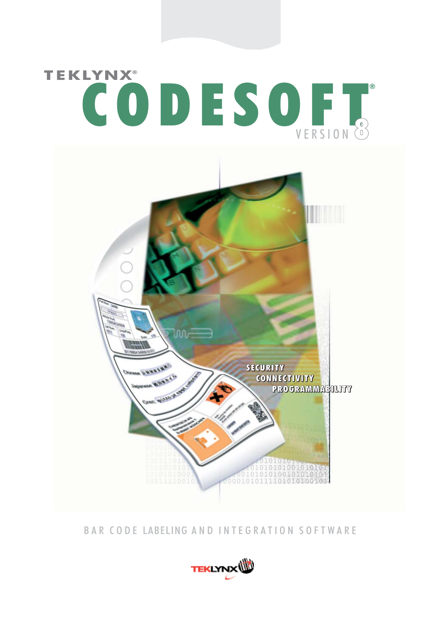

BAR CODE LABELING AND INTEGRATION SOFTWARE

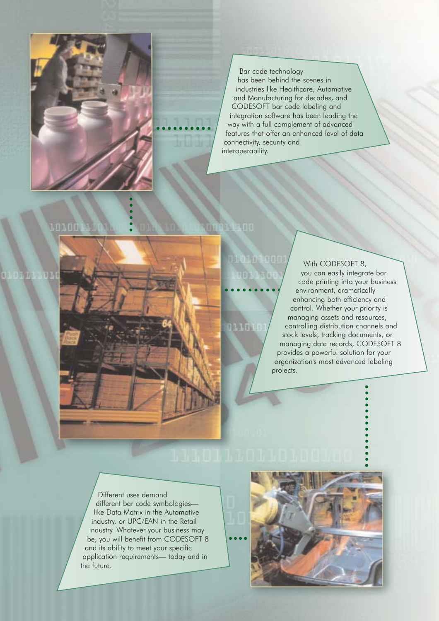

# Bar code technology

has been behind the scenes in industries like Healthcare, Automotive and Manufacturing for decades, and CODESOFT bar code labeling and integration software has been leading the way with a full complement of advanced features that offer an enhanced level of data connectivity, security and interoperability.

#### **ATAFIR**

111111

With CODESOFT 8, you can easily integrate bar code printing into your business environment, dramatically enhancing both efficiency and control. Whether your priority is managing assets and resources, controlling distribution channels and stock levels, tracking documents, or managing data records, CODESOFT 8 provides a powerful solution for your organization's most advanced labeling projects.

Different uses demand different bar code symbologies like Data Matrix in the Automotive industry, or UPC/EAN in the Retail industry. Whatever your business may be, you will benefit from CODESOFT 8 and its ability to meet your specific application requirements— today and in the future.

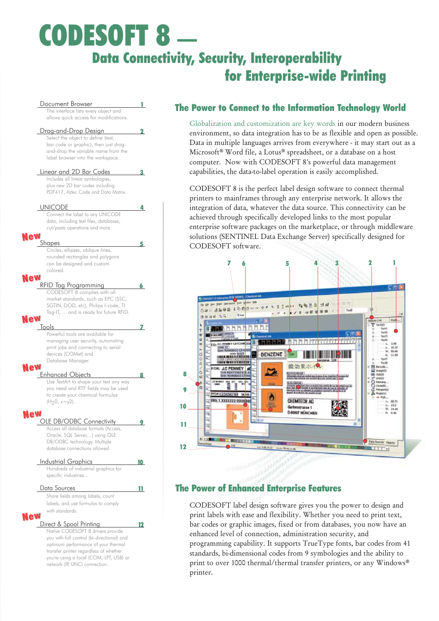# CODESOFT 8 — Data Connectivity, Security, Interoperability for Enterprise-wide Printing



#### The Power to Connect to the Information Technology World

Globalization and customization are key words in our modern business environment, so data integration has to be as flexible and open as possible. Data in multiple languages arrives from everywhere - it may start out as a Microsoft® Word file, a Lotus® spreadsheet, or a database on a host computer. Now with CODESOFT 8's powerful data management capabilities, the data-to-label operation is easily accomplished.

CODESOFT 8 is the perfect label design software to connect thermal printers to mainframes through any enterprise network. It allows the integration of data, whatever the data source. This connectivity can be achieved through specifically developed links to the most popular enterprise software packages on the marketplace, or through middleware solutions (SENTINEL Data Exchange Server) specifically designed for CODESOFT software.



#### The Power of Enhanced Enterprise Features

CODESOFT label design software gives you the power to design and print labels with ease and flexibility. Whether you need to print text, bar codes or graphic images, fixed or from databases, you now have an enhanced level of connection, administration security, and programming capability. It supports TrueType fonts, bar codes from 41 standards, bi-dimensional codes from 9 symbologies and the ability to print to over 1000 thermal/thermal transfer printers, or any Windows® printer.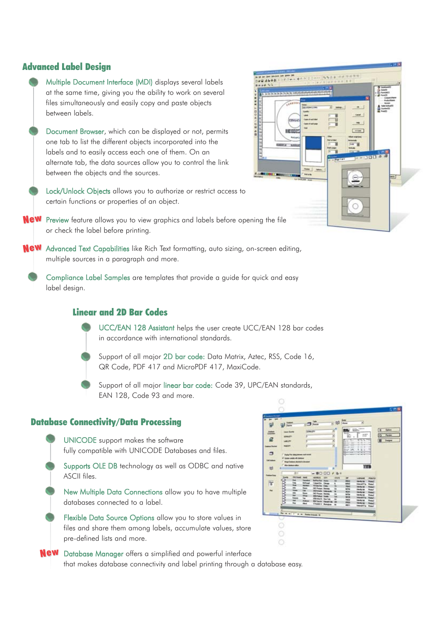#### Advanced Label Design

- Multiple Document Interface (MDI) displays several labels at the same time, giving you the ability to work on several files simultaneously and easily copy and paste objects between labels.
- Document Browser, which can be displayed or not, permits one tab to list the different objects incorporated into the labels and to easily access each one of them. On an alternate tab, the data sources allow you to control the link between the objects and the sources.
- Lock/Unlock Objects allows you to authorize or restrict access to certain functions or properties of an object.
- New Preview feature allows you to view graphics and labels before opening the file or check the label before printing.
- New Advanced Text Capabilities like Rich Text formatting, auto sizing, on-screen editing, multiple sources in a paragraph and more.
	- Compliance Label Samples are templates that provide a guide for quick and easy label design.

#### Linear and 2D Bar Codes

- UCC/EAN 128 Assistant helps the user create UCC/EAN 128 bar codes in accordance with international standards.
- Support of all major 2D bar code: Data Matrix, Aztec, RSS, Code 16, QR Code, PDF 417 and MicroPDF 417, MaxiCode.
- Support of all major linear bar code: Code 39, UPC/EAN standards, EAN 128, Code 93 and more.

#### Database Connectivity/Data Processing

- UNICODE support makes the software fully compatible with UNICODE Databases and files.
- Supports OLE DB technology as well as ODBC and native ASCII files.
- New Multiple Data Connections allow you to have multiple databases connected to a label.
- Flexible Data Source Options allow you to store values in files and share them among labels, accumulate values, store pre-defined lists and more.
- New Database Manager offers a simplified and powerful interface that makes database connectivity and label printing through a database easy.



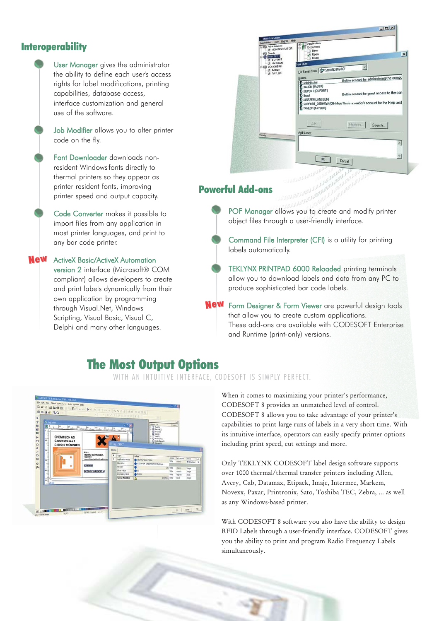#### **Interoperability**

User Manager gives the administrator the ability to define each user's access rights for label modifications, printing capabilities, database access, interface customization and general use of the software.

Job Modifier allows you to alter printer code on the fly.

Font Downloader downloads nonresident Windows fonts directly to thermal printers so they appear as printer resident fonts, improving printer speed and output capacity.

Code Converter makes it possible to import files from any application in most printer languages, and print to any bar code printer.

New ActiveX Basic/ActiveX Automation version 2 interface (Microsoft® COM compliant) allows developers to create and print labels dynamically from their own application by programming through Visual.Net, Windows Scripting, Visual Basic, Visual C, Delphi and many other languages.



### Powerful Add-ons

POF Manager allows you to create and modify printer object files through a user-friendly interface.

Command File Interpreter (CFI) is a utility for printing labels automatically.

TEKLYNX PRINTPAD 6000 Reloaded printing terminals allow you to download labels and data from any PC to produce sophisticated bar code labels.

New Form Designer & Form Viewer are powerful design tools that allow you to create custom applications. These add-ons are available with CODESOFT Enterprise and Runtime (print-only) versions.

# The Most Output Options

WITH AN INTUITIVE INTERFACE, CODESOFT IS SIMPLY PERFECT.



When it comes to maximizing your printer's performance, CODESOFT 8 provides an unmatched level of control. CODESOFT 8 allows you to take advantage of your printer's capabilities to print large runs of labels in a very short time. With its intuitive interface, operators can easily specify printer options including print speed, cut settings and more.

Only TEKLYNX CODESOFT label design software supports over 1000 thermal/thermal transfer printers including Allen, Avery, Cab, Datamax, Etipack, Imaje, Intermec, Markem, Novexx, Paxar, Printronix, Sato, Toshiba TEC, Zebra, ... as well as any Windows-based printer.

With CODESOFT 8 software you also have the ability to design RFID Labels through a user-friendly interface. CODESOFT gives you the ability to print and program Radio Frequency Labels simultaneously.